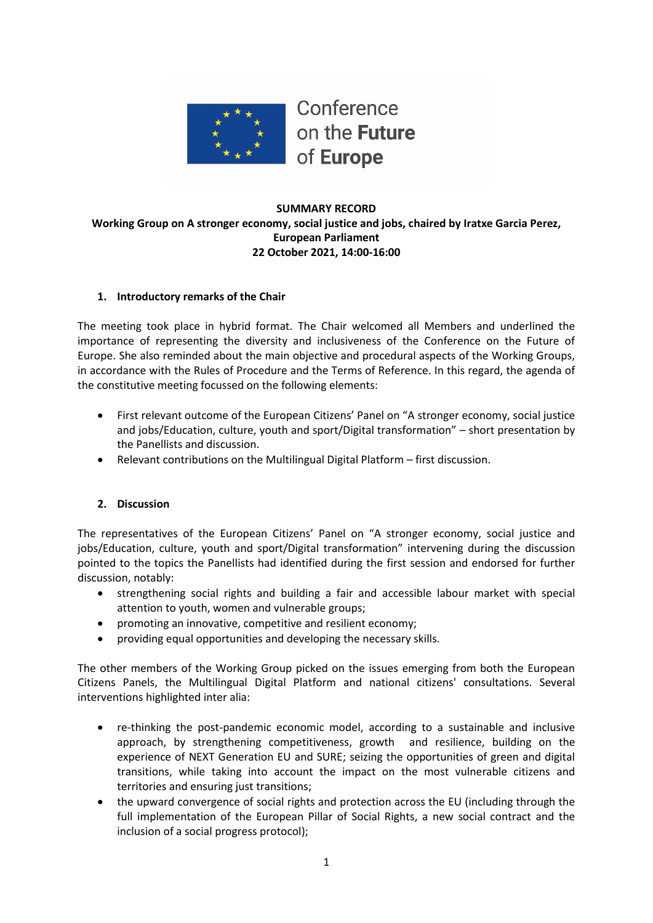

## **SUMMARY RECORD Working Group on A stronger economy, social justice and jobs, chaired by Iratxe Garcia Perez, European Parliament 22 October 2021, 14:00-16:00**

## **1. Introductory remarks of the Chair**

The meeting took place in hybrid format. The Chair welcomed all Members and underlined the importance of representing the diversity and inclusiveness of the Conference on the Future of Europe. She also reminded about the main objective and procedural aspects of the Working Groups, in accordance with the Rules of Procedure and the Terms of Reference. In this regard, the agenda of the constitutive meeting focussed on the following elements:

- First relevant outcome of the European Citizens' Panel on "A stronger economy, social justice and jobs/Education, culture, youth and sport/Digital transformation" – short presentation by the Panellists and discussion.
- Relevant contributions on the Multilingual Digital Platform first discussion.

## **2. Discussion**

The representatives of the European Citizens' Panel on "A stronger economy, social justice and jobs/Education, culture, youth and sport/Digital transformation" intervening during the discussion pointed to the topics the Panellists had identified during the first session and endorsed for further discussion, notably:

- strengthening social rights and building a fair and accessible labour market with special attention to youth, women and vulnerable groups;
- promoting an innovative, competitive and resilient economy;
- providing equal opportunities and developing the necessary skills.

The other members of the Working Group picked on the issues emerging from both the European Citizens Panels, the Multilingual Digital Platform and national citizens' consultations. Several interventions highlighted inter alia:

- re-thinking the post-pandemic economic model, according to a sustainable and inclusive approach, by strengthening competitiveness, growth and resilience, building on the experience of NEXT Generation EU and SURE; seizing the opportunities of green and digital transitions, while taking into account the impact on the most vulnerable citizens and territories and ensuring just transitions;
- the upward convergence of social rights and protection across the EU (including through the full implementation of the European Pillar of Social Rights, a new social contract and the inclusion of a social progress protocol);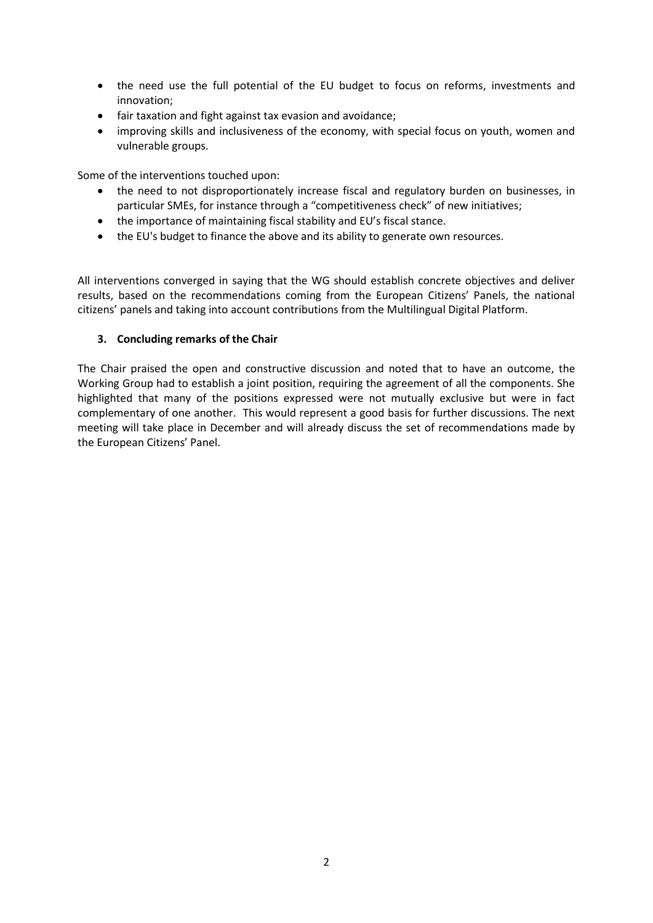- the need use the full potential of the EU budget to focus on reforms, investments and innovation;
- fair taxation and fight against tax evasion and avoidance;
- improving skills and inclusiveness of the economy, with special focus on youth, women and vulnerable groups.

Some of the interventions touched upon:

- the need to not disproportionately increase fiscal and regulatory burden on businesses, in particular SMEs, for instance through a "competitiveness check" of new initiatives;
- the importance of maintaining fiscal stability and EU's fiscal stance.
- the EU's budget to finance the above and its ability to generate own resources.

All interventions converged in saying that the WG should establish concrete objectives and deliver results, based on the recommendations coming from the European Citizens' Panels, the national citizens' panels and taking into account contributions from the Multilingual Digital Platform.

## **3. Concluding remarks of the Chair**

The Chair praised the open and constructive discussion and noted that to have an outcome, the Working Group had to establish a joint position, requiring the agreement of all the components. She highlighted that many of the positions expressed were not mutually exclusive but were in fact complementary of one another. This would represent a good basis for further discussions. The next meeting will take place in December and will already discuss the set of recommendations made by the European Citizens' Panel.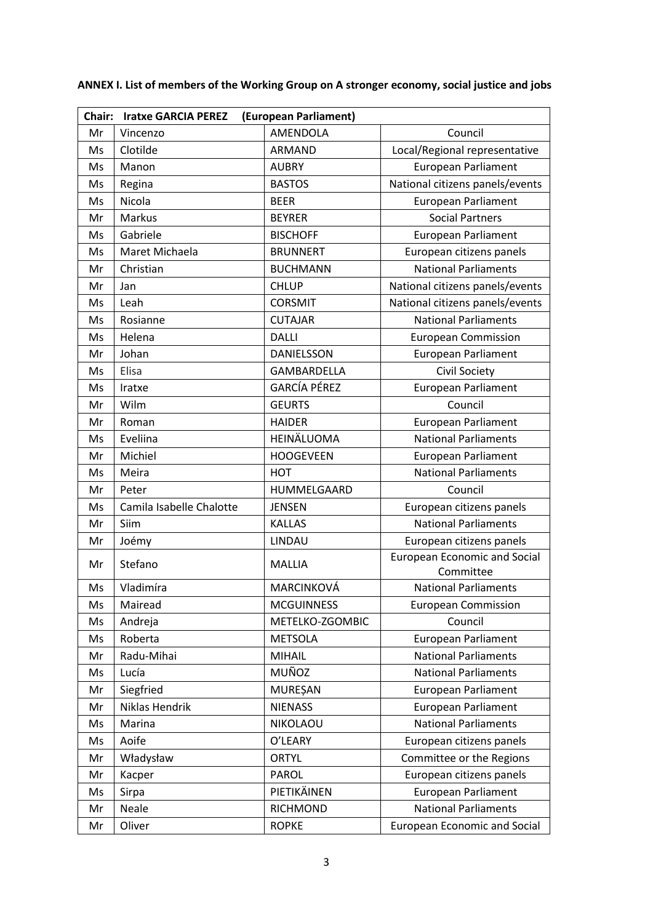| (European Parliament)<br>Chair:<br><b>Iratxe GARCIA PEREZ</b> |                          |                     |                                                  |  |
|---------------------------------------------------------------|--------------------------|---------------------|--------------------------------------------------|--|
| Mr                                                            | Vincenzo                 | AMENDOLA            | Council                                          |  |
| Ms                                                            | Clotilde                 | <b>ARMAND</b>       | Local/Regional representative                    |  |
| Ms                                                            | Manon                    | <b>AUBRY</b>        | <b>European Parliament</b>                       |  |
| Ms                                                            | Regina                   | <b>BASTOS</b>       | National citizens panels/events                  |  |
| Ms                                                            | Nicola                   | <b>BEER</b>         | <b>European Parliament</b>                       |  |
| Mr                                                            | Markus                   | <b>BEYRER</b>       | <b>Social Partners</b>                           |  |
| Ms                                                            | Gabriele                 | <b>BISCHOFF</b>     | <b>European Parliament</b>                       |  |
| Ms                                                            | Maret Michaela           | <b>BRUNNERT</b>     | European citizens panels                         |  |
| Mr                                                            | Christian                | <b>BUCHMANN</b>     | <b>National Parliaments</b>                      |  |
| Mr                                                            | Jan                      | <b>CHLUP</b>        | National citizens panels/events                  |  |
| Ms                                                            | Leah                     | <b>CORSMIT</b>      | National citizens panels/events                  |  |
| Ms                                                            | Rosianne                 | <b>CUTAJAR</b>      | <b>National Parliaments</b>                      |  |
| Ms                                                            | Helena                   | <b>DALLI</b>        | <b>European Commission</b>                       |  |
| Mr                                                            | Johan                    | DANIELSSON          | <b>European Parliament</b>                       |  |
| Ms                                                            | Elisa                    | GAMBARDELLA         | Civil Society                                    |  |
| Ms                                                            | Iratxe                   | <b>GARCÍA PÉREZ</b> | <b>European Parliament</b>                       |  |
| Mr                                                            | Wilm                     | <b>GEURTS</b>       | Council                                          |  |
| Mr                                                            | Roman                    | <b>HAIDER</b>       | European Parliament                              |  |
| Ms                                                            | Eveliina                 | HEINÄLUOMA          | <b>National Parliaments</b>                      |  |
| Mr                                                            | Michiel                  | <b>HOOGEVEEN</b>    | <b>European Parliament</b>                       |  |
| Ms                                                            | Meira                    | <b>HOT</b>          | <b>National Parliaments</b>                      |  |
| Mr                                                            | Peter                    | HUMMELGAARD         | Council                                          |  |
| Ms                                                            | Camila Isabelle Chalotte | <b>JENSEN</b>       | European citizens panels                         |  |
| Mr                                                            | Siim                     | <b>KALLAS</b>       | <b>National Parliaments</b>                      |  |
| Mr                                                            | Joémy                    | LINDAU              | European citizens panels                         |  |
| Mr                                                            | Stefano                  | <b>MALLIA</b>       | <b>European Economic and Social</b><br>Committee |  |
| Ms                                                            | Vladimíra                | MARCINKOVÁ          | <b>National Parliaments</b>                      |  |
| Ms                                                            | Mairead                  | <b>MCGUINNESS</b>   | <b>European Commission</b>                       |  |
| Ms                                                            | Andreja                  | METELKO-ZGOMBIC     | Council                                          |  |
| Ms                                                            | Roberta                  | <b>METSOLA</b>      | <b>European Parliament</b>                       |  |
| Mr                                                            | Radu-Mihai               | MIHAIL              | <b>National Parliaments</b>                      |  |
| Ms                                                            | Lucía                    | MUÑOZ               | <b>National Parliaments</b>                      |  |
| Mr                                                            | Siegfried                | <b>MUREȘAN</b>      | <b>European Parliament</b>                       |  |
| Mr                                                            | Niklas Hendrik           | <b>NIENASS</b>      | <b>European Parliament</b>                       |  |
| Ms                                                            | Marina                   | NIKOLAOU            | <b>National Parliaments</b>                      |  |
| Ms                                                            | Aoife                    | O'LEARY             | European citizens panels                         |  |
| Mr                                                            | Władysław                | <b>ORTYL</b>        | Committee or the Regions                         |  |
| Mr                                                            | Kacper                   | <b>PAROL</b>        | European citizens panels                         |  |
| Ms                                                            | Sirpa                    | PIETIKÄINEN         | <b>European Parliament</b>                       |  |
| Mr                                                            | Neale                    | <b>RICHMOND</b>     | <b>National Parliaments</b>                      |  |
| Mr                                                            | Oliver                   | <b>ROPKE</b>        | <b>European Economic and Social</b>              |  |

# **ANNEX I. List of members of the Working Group on A stronger economy, social justice and jobs**